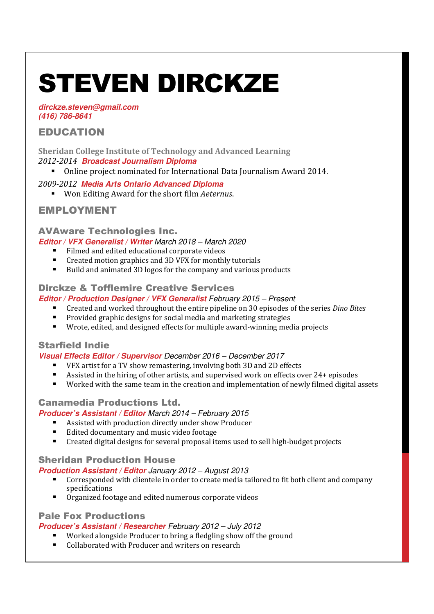# STEVEN DIRCKZE

**dirckze.steven@gmail.com (416) 786-8641**

# EDUCATION

**Sheridan College Institute of Technology and Advanced Learning** *2012-2014* **Broadcast Journalism Diploma** 

Online project nominated for International Data Journalism Award 2014.

# *2009-2012* **Media Arts Ontario Advanced Diploma**

Won Editing Award for the short film *Aeternus*.

# EMPLOYMENT

# AVAware Technologies Inc.

**Editor / VFX Generalist / Writer** March 2018 – March 2020

- Filmed and edited educational corporate videos
- Created motion graphics and 3D VFX for monthly tutorials
- Build and animated 3D logos for the company and various products

# Dirckze & Tofflemire Creative Services

### **Editor / Production Designer / VFX Generalist** February 2015 – Present

- Created and worked throughout the entire pipeline on 30 episodes of the series *Dino Bites*
- **Provided graphic designs for social media and marketing strategies**
- Wrote, edited, and designed effects for multiple award-winning media projects

# Starfield Indie

#### **Visual Effects Editor / Supervisor** December 2016 – December 2017

- VFX artist for a TV show remastering, involving both 3D and 2D effects
- Assisted in the hiring of other artists, and supervised work on effects over 24+ episodes
- Worked with the same team in the creation and implementation of newly filmed digital assets

# Canamedia Productions Ltd.

#### **Producer's Assistant / Editor** March 2014 – February 2015

- Assisted with production directly under show Producer
- Edited documentary and music video footage
- Created digital designs for several proposal items used to sell high-budget projects

# Sheridan Production House

#### **Production Assistant / Editor** January 2012 – August 2013

- Corresponded with clientele in order to create media tailored to fit both client and company specifications
- Organized footage and edited numerous corporate videos

# Pale Fox Productions

# **Producer's Assistant / Researcher** February 2012 – July 2012

- Worked alongside Producer to bring a fledgling show off the ground
- Collaborated with Producer and writers on research